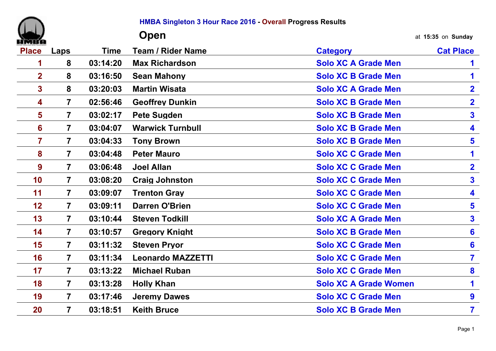| ٠ |  |
|---|--|

**HMBA Singleton 3 Hour Race 2016 - Overall Progress Results**

|                |                         |             | Open                     |                              | at 15:35 on Sunday      |
|----------------|-------------------------|-------------|--------------------------|------------------------------|-------------------------|
| <b>Place</b>   | Laps                    | <b>Time</b> | <b>Team / Rider Name</b> | <b>Category</b>              | <b>Cat Place</b>        |
|                | 8                       | 03:14:20    | <b>Max Richardson</b>    | <b>Solo XC A Grade Men</b>   |                         |
| $\overline{2}$ | 8                       | 03:16:50    | <b>Sean Mahony</b>       | <b>Solo XC B Grade Men</b>   | 1                       |
| $\mathbf{3}$   | 8                       | 03:20:03    | <b>Martin Wisata</b>     | <b>Solo XC A Grade Men</b>   | $\mathbf{2}$            |
| 4              | $\overline{7}$          | 02:56:46    | <b>Geoffrey Dunkin</b>   | <b>Solo XC B Grade Men</b>   | $\overline{2}$          |
| 5              | $\overline{\mathbf{7}}$ | 03:02:17    | <b>Pete Sugden</b>       | <b>Solo XC B Grade Men</b>   | $\overline{\mathbf{3}}$ |
| 6              | $\overline{7}$          | 03:04:07    | <b>Warwick Turnbull</b>  | <b>Solo XC B Grade Men</b>   | 4                       |
| 7              | $\overline{7}$          | 03:04:33    | <b>Tony Brown</b>        | <b>Solo XC B Grade Men</b>   | $5\phantom{1}$          |
| 8              | $\overline{7}$          | 03:04:48    | <b>Peter Mauro</b>       | <b>Solo XC C Grade Men</b>   | 1                       |
| 9              | $\overline{7}$          | 03:06:48    | <b>Joel Allan</b>        | <b>Solo XC C Grade Men</b>   | $\overline{\mathbf{2}}$ |
| 10             | $\overline{7}$          | 03:08:20    | <b>Craig Johnston</b>    | <b>Solo XC C Grade Men</b>   | $\overline{\mathbf{3}}$ |
| 11             | $\overline{7}$          | 03:09:07    | <b>Trenton Gray</b>      | <b>Solo XC C Grade Men</b>   | 4                       |
| 12             | $\overline{7}$          | 03:09:11    | <b>Darren O'Brien</b>    | <b>Solo XC C Grade Men</b>   | $\overline{\mathbf{5}}$ |
| 13             | $\overline{7}$          | 03:10:44    | <b>Steven Todkill</b>    | <b>Solo XC A Grade Men</b>   | 3                       |
| 14             | $\overline{7}$          | 03:10:57    | <b>Gregory Knight</b>    | <b>Solo XC B Grade Men</b>   | 6                       |
| 15             | $\overline{7}$          | 03:11:32    | <b>Steven Pryor</b>      | <b>Solo XC C Grade Men</b>   | 6                       |
| 16             | $\overline{7}$          | 03:11:34    | <b>Leonardo MAZZETTI</b> | <b>Solo XC C Grade Men</b>   | $\overline{\mathbf{7}}$ |
| 17             | $\overline{7}$          | 03:13:22    | <b>Michael Ruban</b>     | <b>Solo XC C Grade Men</b>   | 8                       |
| 18             | $\overline{7}$          | 03:13:28    | <b>Holly Khan</b>        | <b>Solo XC A Grade Women</b> | 1                       |
| 19             | $\overline{7}$          | 03:17:46    | <b>Jeremy Dawes</b>      | <b>Solo XC C Grade Men</b>   | 9                       |
| 20             | $\overline{7}$          | 03:18:51    | <b>Keith Bruce</b>       | <b>Solo XC B Grade Men</b>   | $\overline{\mathbf{7}}$ |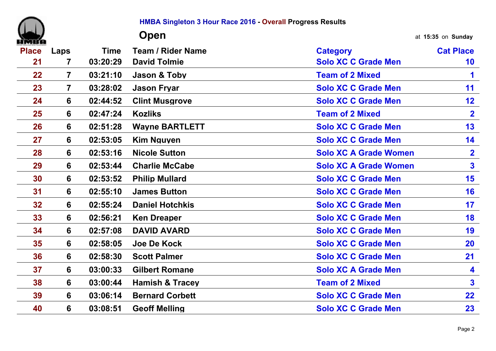|              |                         |             | HMBA Singleton 3 Hour Race 2016 - Overall Progress Results |                              |                         |
|--------------|-------------------------|-------------|------------------------------------------------------------|------------------------------|-------------------------|
|              |                         |             | Open                                                       |                              | at 15:35 on Sunday      |
| <b>Place</b> | Laps                    | <b>Time</b> | <b>Team / Rider Name</b>                                   | <b>Category</b>              | <b>Cat Place</b>        |
| 21           | $\overline{\mathbf{7}}$ | 03:20:29    | <b>David Tolmie</b>                                        | <b>Solo XC C Grade Men</b>   | 10                      |
| 22           | $\overline{7}$          | 03:21:10    | Jason & Toby                                               | <b>Team of 2 Mixed</b>       | 1                       |
| 23           | $\overline{7}$          | 03:28:02    | <b>Jason Fryar</b>                                         | <b>Solo XC C Grade Men</b>   | 11                      |
| 24           | 6                       | 02:44:52    | <b>Clint Musgrove</b>                                      | <b>Solo XC C Grade Men</b>   | 12                      |
| 25           | 6                       | 02:47:24    | <b>Kozliks</b>                                             | <b>Team of 2 Mixed</b>       | $\mathbf{2}$            |
| 26           | 6                       | 02:51:28    | <b>Wayne BARTLETT</b>                                      | <b>Solo XC C Grade Men</b>   | 13                      |
| 27           | 6                       | 02:53:05    | <b>Kim Nguyen</b>                                          | <b>Solo XC C Grade Men</b>   | 14                      |
| 28           | 6                       | 02:53:16    | <b>Nicole Sutton</b>                                       | <b>Solo XC A Grade Women</b> | $\overline{\mathbf{2}}$ |
| 29           | 6                       | 02:53:44    | <b>Charlie McCabe</b>                                      | <b>Solo XC A Grade Women</b> | $\mathbf{3}$            |
| 30           | 6                       | 02:53:52    | <b>Philip Mullard</b>                                      | <b>Solo XC C Grade Men</b>   | 15                      |
| 31           | 6                       | 02:55:10    | <b>James Button</b>                                        | <b>Solo XC C Grade Men</b>   | 16                      |
| 32           | 6                       | 02:55:24    | <b>Daniel Hotchkis</b>                                     | <b>Solo XC C Grade Men</b>   | 17                      |
| 33           | 6                       | 02:56:21    | <b>Ken Dreaper</b>                                         | <b>Solo XC C Grade Men</b>   | 18                      |
| 34           | 6                       | 02:57:08    | <b>DAVID AVARD</b>                                         | <b>Solo XC C Grade Men</b>   | 19                      |
| 35           | 6                       | 02:58:05    | <b>Joe De Kock</b>                                         | <b>Solo XC C Grade Men</b>   | 20                      |
| 36           | 6                       | 02:58:30    | <b>Scott Palmer</b>                                        | <b>Solo XC C Grade Men</b>   | 21                      |
| 37           | 6                       | 03:00:33    | <b>Gilbert Romane</b>                                      | <b>Solo XC A Grade Men</b>   | 4                       |
| 38           | 6                       | 03:00:44    | <b>Hamish &amp; Tracey</b>                                 | <b>Team of 2 Mixed</b>       | $\mathbf{3}$            |
| 39           | 6                       | 03:06:14    | <b>Bernard Corbett</b>                                     | <b>Solo XC C Grade Men</b>   | 22                      |
| 40           | 6                       | 03:08:51    | <b>Geoff Melling</b>                                       | <b>Solo XC C Grade Men</b>   | 23                      |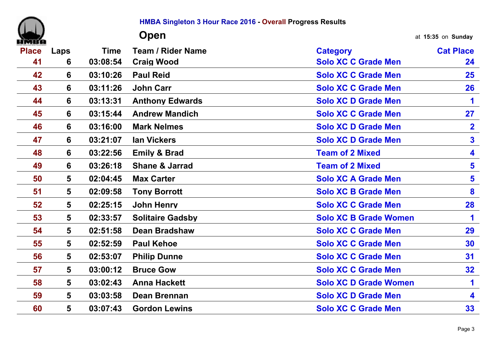|              |                |             | HMBA Singleton 3 Hour Race 2016 - Overall Progress Results |                              |                         |
|--------------|----------------|-------------|------------------------------------------------------------|------------------------------|-------------------------|
|              |                |             | Open                                                       |                              | at 15:35 on Sunday      |
| <b>Place</b> | Laps           | <b>Time</b> | <b>Team / Rider Name</b>                                   | <b>Category</b>              | <b>Cat Place</b>        |
| 41           | 6              | 03:08:54    | <b>Craig Wood</b>                                          | <b>Solo XC C Grade Men</b>   | 24                      |
| 42           | 6              | 03:10:26    | <b>Paul Reid</b>                                           | <b>Solo XC C Grade Men</b>   | $25\,$                  |
| 43           | 6              | 03:11:26    | <b>John Carr</b>                                           | <b>Solo XC C Grade Men</b>   | 26                      |
| 44           | 6              | 03:13:31    | <b>Anthony Edwards</b>                                     | <b>Solo XC D Grade Men</b>   | 1                       |
| 45           | 6              | 03:15:44    | <b>Andrew Mandich</b>                                      | <b>Solo XC C Grade Men</b>   | 27                      |
| 46           | 6              | 03:16:00    | <b>Mark Nelmes</b>                                         | <b>Solo XC D Grade Men</b>   | $\overline{\mathbf{2}}$ |
| 47           | 6              | 03:21:07    | <b>Ian Vickers</b>                                         | <b>Solo XC D Grade Men</b>   | 3 <sup>1</sup>          |
| 48           | 6              | 03:22:56    | <b>Emily &amp; Brad</b>                                    | <b>Team of 2 Mixed</b>       | 4                       |
| 49           | 6              | 03:26:18    | <b>Shane &amp; Jarrad</b>                                  | <b>Team of 2 Mixed</b>       | $\overline{\mathbf{5}}$ |
| 50           | 5              | 02:04:45    | <b>Max Carter</b>                                          | <b>Solo XC A Grade Men</b>   | 5                       |
| 51           | 5              | 02:09:58    | <b>Tony Borrott</b>                                        | <b>Solo XC B Grade Men</b>   | 8                       |
| 52           | 5              | 02:25:15    | <b>John Henry</b>                                          | <b>Solo XC C Grade Men</b>   | 28                      |
| 53           | 5              | 02:33:57    | <b>Solitaire Gadsby</b>                                    | <b>Solo XC B Grade Women</b> | 1                       |
| 54           | 5              | 02:51:58    | <b>Dean Bradshaw</b>                                       | <b>Solo XC C Grade Men</b>   | 29                      |
| 55           | 5              | 02:52:59    | <b>Paul Kehoe</b>                                          | <b>Solo XC C Grade Men</b>   | 30                      |
| 56           | $5\phantom{1}$ | 02:53:07    | <b>Philip Dunne</b>                                        | <b>Solo XC C Grade Men</b>   | 31                      |
| 57           | 5              | 03:00:12    | <b>Bruce Gow</b>                                           | <b>Solo XC C Grade Men</b>   | 32 <sub>2</sub>         |
| 58           | 5              | 03:02:43    | <b>Anna Hackett</b>                                        | <b>Solo XC D Grade Women</b> | 1.                      |
| 59           | 5              | 03:03:58    | <b>Dean Brennan</b>                                        | <b>Solo XC D Grade Men</b>   | 4                       |
| 60           | 5              | 03:07:43    | <b>Gordon Lewins</b>                                       | <b>Solo XC C Grade Men</b>   | 33                      |